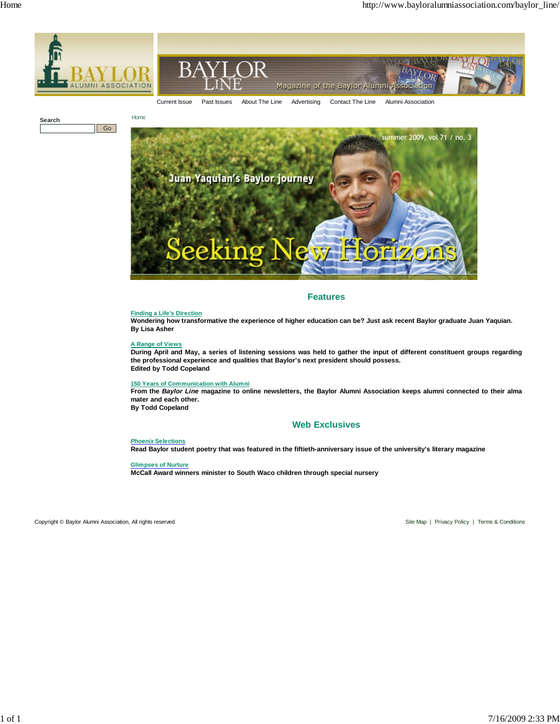



**Search** Go



# **Features**

# **Finding a Life's Direction**

**Wondering how transformative the experience of higher education can be? Just ask recent Baylor graduate Juan Yaquian. By Lisa Asher**

# **A Range of Views**

**During April and May, a series of listening sessions was held to gather the input of different constituent groups regarding the professional experience and qualities that Baylor's next president should possess. Edited by Todd Copeland**

# **150 Years of Communication with Alumni**

**From the** *Baylor Line* **magazine to online newsletters, the Baylor Alumni Association keeps alumni connected to their alma mater and each other. By Todd Copeland**

# **Web Exclusives**

# *Phoenix* **Selections**

**Read Baylor student poetry that was featured in the fiftieth-anniversary issue of the university's literary magazine**

**Glimpses of Nurture**

**McCall Award winners minister to South Waco children through special nursery**

Copyright © Baylor Alumni Association, All rights reserved Site Map | Privacy Policy | Terms & Conditions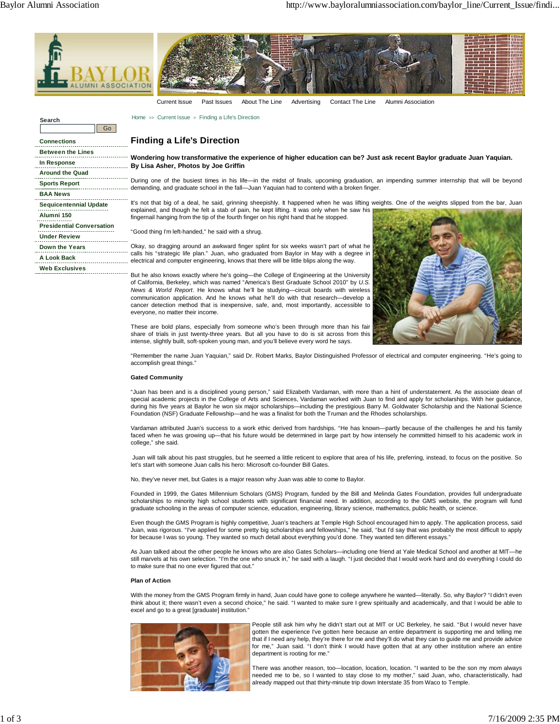**Search**



Current Issue Past Issues About The Line Advertising Contact The Line Alumni Association

Home >> Current Issue > Finding a Life's Direction

# **Finding a Life's Direction**

**Wondering how transformative the experience of higher education can be? Just ask recent Baylor graduate Juan Yaquian. By Lisa Asher, Photos by Joe Griffin**

During one of the busiest times in his life—in the midst of finals, upcoming graduation, an impending summer internship that will be beyond demanding, and graduate school in the fall—Juan Yaquian had to contend with a broken finger.

It's not that big of a deal, he said, grinning sheepishly. It happened when he was lifting weights. One of the weights slipped from the bar, Juan explained, and though he felt a stab of pain, he kept lifting. It was only when he saw his fingernail hanging from the tip of the fourth finger on his right hand that he stopped.

"Good thing I'm left-handed," he said with a shrug.

Okay, so dragging around an awkward finger splint for six weeks wasn't part of what he calls his "strategic life plan." Juan, who graduated from Baylor in May with a degree in electrical and computer engineering, knows that there will be little blips along the way.

But he also knows exactly where he's going—the College of Engineering at the University of California, Berkeley, which was named "America's Best Graduate School 2010" by *U.S. News & World Report*. He knows what he'll be studying—circuit boards with wireless communication application. And he knows what he'll do with that research—develop a cancer detection method that is inexpensive, safe, and, most importantly, accessible to everyone, no matter their income.



These are bold plans, especially from someone who's been through more than his fair share of trials in just twenty-three years. But all you have to do is sit across from this intense, slightly built, soft-spoken young man, and you'll believe every word he says.

"Remember the name Juan Yaquian," said Dr. Robert Marks, Baylor Distinguished Professor of electrical and computer engineering. "He's going to accomplish great things."

### **Gated Community**

"Juan has been and is a disciplined young person," said Elizabeth Vardaman, with more than a hint of understatement. As the associate dean of special academic projects in the College of Arts and Sciences, Vardaman worked with Juan to find and apply for scholarships. With her guidance, during his five years at Baylor he won six major scholarships—including the prestigious Barry M. Goldwater Scholarship and the National Science Foundation (NSF) Graduate Fellowship—and he was a finalist for both the Truman and the Rhodes scholarships.

Vardaman attributed Juan's success to a work ethic derived from hardships. "He has known—partly because of the challenges he and his family faced when he was growing up—that his future would be determined in large part by how intensely he committed himself to his academic work in college," she said.

 Juan will talk about his past struggles, but he seemed a little reticent to explore that area of his life, preferring, instead, to focus on the positive. So let's start with someone Juan calls his hero: Microsoft co-founder Bill Gates.

No, they've never met, but Gates is a major reason why Juan was able to come to Baylor.

Founded in 1999, the Gates Millennium Scholars (GMS) Program, funded by the Bill and Melinda Gates Foundation, provides full undergraduate scholarships to minority high school students with significant financial need. In addition, according to the GMS website, the program will fund graduate schooling in the areas of computer science, education, engineering, library science, mathematics, public health, or science.

Even though the GMS Program is highly competitive, Juan's teachers at Temple High School encouraged him to apply. The application process, said Juan, was rigorous. "I've applied for some pretty big scholarships and fellowships," he said, "but I'd say that was probably the most difficult to apply for because I was so young. They wanted so much detail about everything you'd done. They wanted ten different essays."

As Juan talked about the other people he knows who are also Gates Scholars—including one friend at Yale Medical School and another at MIT—he still marvels at his own selection. "I'm the one who snuck in," he said with a laugh. "I just decided that I would work hard and do everything I could do to make sure that no one ever figured that out."

#### **Plan of Action**

With the money from the GMS Program firmly in hand, Juan could have gone to college anywhere he wanted—literally. So, why Baylor? "I didn't even think about it; there wasn't even a second choice," he said. "I wanted to make sure I grew spiritually and academically, and that I would be able to excel and go to a great [graduate] institution."



People still ask him why he didn't start out at MIT or UC Berkeley, he said. "But I would never have gotten the experience I've gotten here because an entire department is supporting me and telling me that if I need any help, they're there for me and they'll do what they can to guide me and provide advice for me," Juan said. "I don't think I would have gotten that at any other institution where an entire department is rooting for me."

There was another reason, too—location, location, location. "I wanted to be the son my mom always needed me to be, so I wanted to stay close to my mother," said Juan, who, characteristically, had already mapped out that thirty-minute trip down Interstate 35 from Waco to Temple.

**Connections Between the Lines In Response Around the Quad Sports Report BAA News Sequicentennial Update Alumni 150 Presidential Conversation Under Review Down the Years A Look Back Web Exclusives**

Go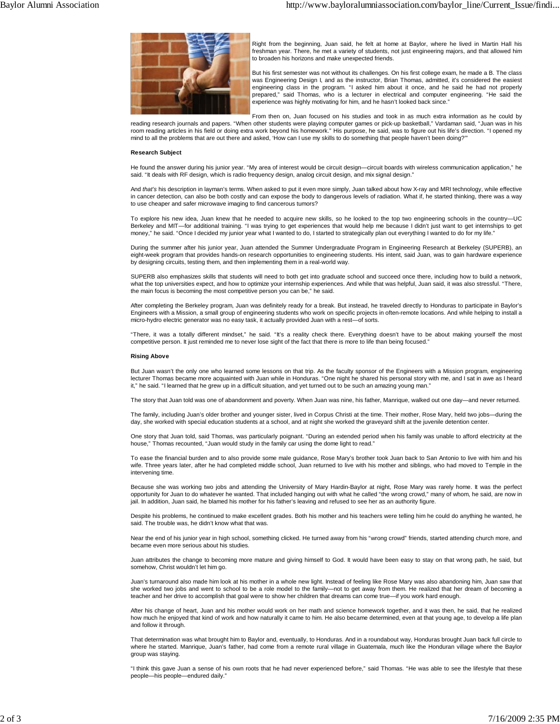

Right from the beginning, Juan said, he felt at home at Baylor, where he lived in Martin Hall his freshman year. There, he met a variety of students, not just engineering majors, and that allowed him to broaden his horizons and make unexpected friends.

But his first semester was not without its challenges. On his first college exam, he made a B. The class was Engineering Design I, and as the instructor, Brian Thomas, admitted, it's considered the easiest engineering class in the program. "I asked him about it once, and he said he had not properly prepared," said Thomas, who is a lecturer in electrical and computer engineering. "He said the experience was highly motivating for him, and he hasn't looked back since."

From then on, Juan focused on his studies and took in as much extra information as he could by reading research journals and papers. "When other students were playing computer games or pick-up basketball," Vardaman said, "Juan was in his<br>room reading articles in his field or doing extra work beyond his homework." Hi

mind to all the problems that are out there and asked, 'How can I use my skills to do something that people haven't been doing?'"

### **Research Subject**

He found the answer during his junior year. "My area of interest would be circuit design—circuit boards with wireless communication application," he said. "It deals with RF design, which is radio frequency design, analog circuit design, and mix signal design."

And *that's* his description in layman's terms. When asked to put it even more simply, Juan talked about how X-ray and MRI technology, while effective in cancer detection, can also be both costly and can expose the body to dangerous levels of radiation. What if, he started thinking, there was a way to use cheaper and safer microwave imaging to find cancerous tumors?

To explore his new idea, Juan knew that he needed to acquire new skills, so he looked to the top two engineering schools in the country—UC<br>Berkeley and MIT—for additional training. "I was trying to get experiences that wou money," he said. "Once I decided my junior year what I wanted to do, I started to strategically plan out everything I wanted to do for my life."

During the summer after his junior year, Juan attended the Summer Undergraduate Program in Engineering Research at Berkeley (SUPERB), an eight-week program that provides hands-on research opportunities to engineering students. His intent, said Juan, was to gain hardware experience by designing circuits, testing them, and then implementing them in a real-world way.

SUPERB also emphasizes skills that students will need to both get into graduate school and succeed once there, including how to build a network, what the top universities expect, and how to optimize your internship experiences. And while that was helpful, Juan said, it was also stressful. "There, the main focus is becoming the most competitive person you can be," he said.

After completing the Berkeley program, Juan was definitely ready for a break. But instead, he traveled directly to Honduras to participate in Baylor's Engineers with a Mission, a small group of engineering students who work on specific projects in often-remote locations. And while helping to install a micro-hydro electric generator was no easy task, it actually provided Juan with a rest—of sorts.

"There, it was a totally different mindset," he said. "It's a reality check there. Everything doesn't have to be about making yourself the most competitive person. It just reminded me to never lose sight of the fact that there is more to life than being focused."

### **Rising Above**

But Juan wasn't the only one who learned some lessons on that trip. As the faculty sponsor of the Engineers with a Mission program, engineering lecturer Thomas became more acquainted with Juan while in Honduras. "One night he shared his personal story with me, and I sat in awe as I heard it," he said. "I learned that he grew up in a difficult situation, and yet turned out to be such an amazing young man."

The story that Juan told was one of abandonment and poverty. When Juan was nine, his father, Manrique, walked out one day—and never returned.

The family, including Juan's older brother and younger sister, lived in Corpus Christi at the time. Their mother, Rose Mary, held two jobs—during the day, she worked with special education students at a school, and at night she worked the graveyard shift at the juvenile detention center.

One story that Juan told, said Thomas, was particularly poignant. "During an extended period when his family was unable to afford electricity at the house," Thomas recounted, "Juan would study in the family car using the dome light to read."

To ease the financial burden and to also provide some male guidance, Rose Mary's brother took Juan back to San Antonio to live with him and his wife. Three years later, after he had completed middle school, Juan returned to live with his mother and siblings, who had moved to Temple in the intervening time.

Because she was working two jobs and attending the University of Mary Hardin-Baylor at night, Rose Mary was rarely home. It was the perfect opportunity for Juan to do whatever he wanted. That included hanging out with what he called "the wrong crowd," many of whom, he said, are now in jail. In addition, Juan said, he blamed his mother for his father's leaving and refused to see her as an authority figure.

Despite his problems, he continued to make excellent grades. Both his mother and his teachers were telling him he could do anything he wanted, he said. The trouble was, he didn't know what that was.

Near the end of his junior year in high school, something clicked. He turned away from his "wrong crowd" friends, started attending church more, and became even more serious about his studies.

Juan attributes the change to becoming more mature and giving himself to God. It would have been easy to stay on that wrong path, he said, but somehow, Christ wouldn't let him go.

Juan's turnaround also made him look at his mother in a whole new light. Instead of feeling like Rose Mary was also abandoning him, Juan saw that she worked two jobs and went to school to be a role model to the family—not to get away from them. He realized that her dream of becoming a teacher and her drive to accomplish that goal were to show her children that dreams can come true—if you work hard enough.

After his change of heart, Juan and his mother would work on her math and science homework together, and it was then, he said, that he realized how much he enjoyed that kind of work and how naturally it came to him. He also became determined, even at that young age, to develop a life plan and follow it through.

That determination was what brought him to Baylor and, eventually, to Honduras. And in a roundabout way, Honduras brought Juan back full circle to where he started. Manrique, Juan's father, had come from a remote rural village in Guatemala, much like the Honduran village where the Baylor group was staying.

"I think this gave Juan a sense of his own roots that he had never experienced before," said Thomas. "He was able to see the lifestyle that these people—his people—endured daily."